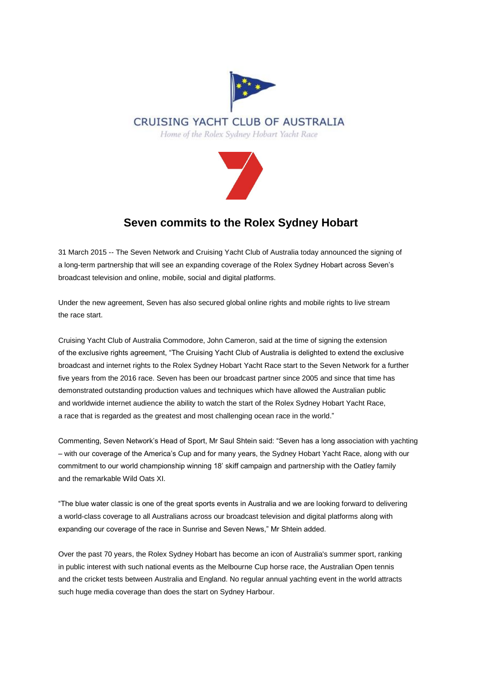



## **Seven commits to the Rolex Sydney Hobart**

31 March 2015 -- The Seven Network and Cruising Yacht Club of Australia today announced the signing of a long-term partnership that will see an expanding coverage of the Rolex Sydney Hobart across Seven's broadcast television and online, mobile, social and digital platforms.

Under the new agreement, Seven has also secured global online rights and mobile rights to live stream the race start.

Cruising Yacht Club of Australia Commodore, John Cameron, said at the time of signing the extension of the exclusive rights agreement, "The Cruising Yacht Club of Australia is delighted to extend the exclusive broadcast and internet rights to the Rolex Sydney Hobart Yacht Race start to the Seven Network for a further five years from the 2016 race. Seven has been our broadcast partner since 2005 and since that time has demonstrated outstanding production values and techniques which have allowed the Australian public and worldwide internet audience the ability to watch the start of the Rolex Sydney Hobart Yacht Race, a race that is regarded as the greatest and most challenging ocean race in the world."

Commenting, Seven Network's Head of Sport, Mr Saul Shtein said: "Seven has a long association with yachting – with our coverage of the America's Cup and for many years, the Sydney Hobart Yacht Race, along with our commitment to our world championship winning 18' skiff campaign and partnership with the Oatley family and the remarkable Wild Oats XI.

"The blue water classic is one of the great sports events in Australia and we are looking forward to delivering a world-class coverage to all Australians across our broadcast television and digital platforms along with expanding our coverage of the race in Sunrise and Seven News," Mr Shtein added.

Over the past 70 years, the Rolex Sydney Hobart has become an icon of Australia's summer sport, ranking in public interest with such national events as the Melbourne Cup horse race, the Australian Open tennis and the cricket tests between Australia and England. No regular annual yachting event in the world attracts such huge media coverage than does the start on Sydney Harbour.